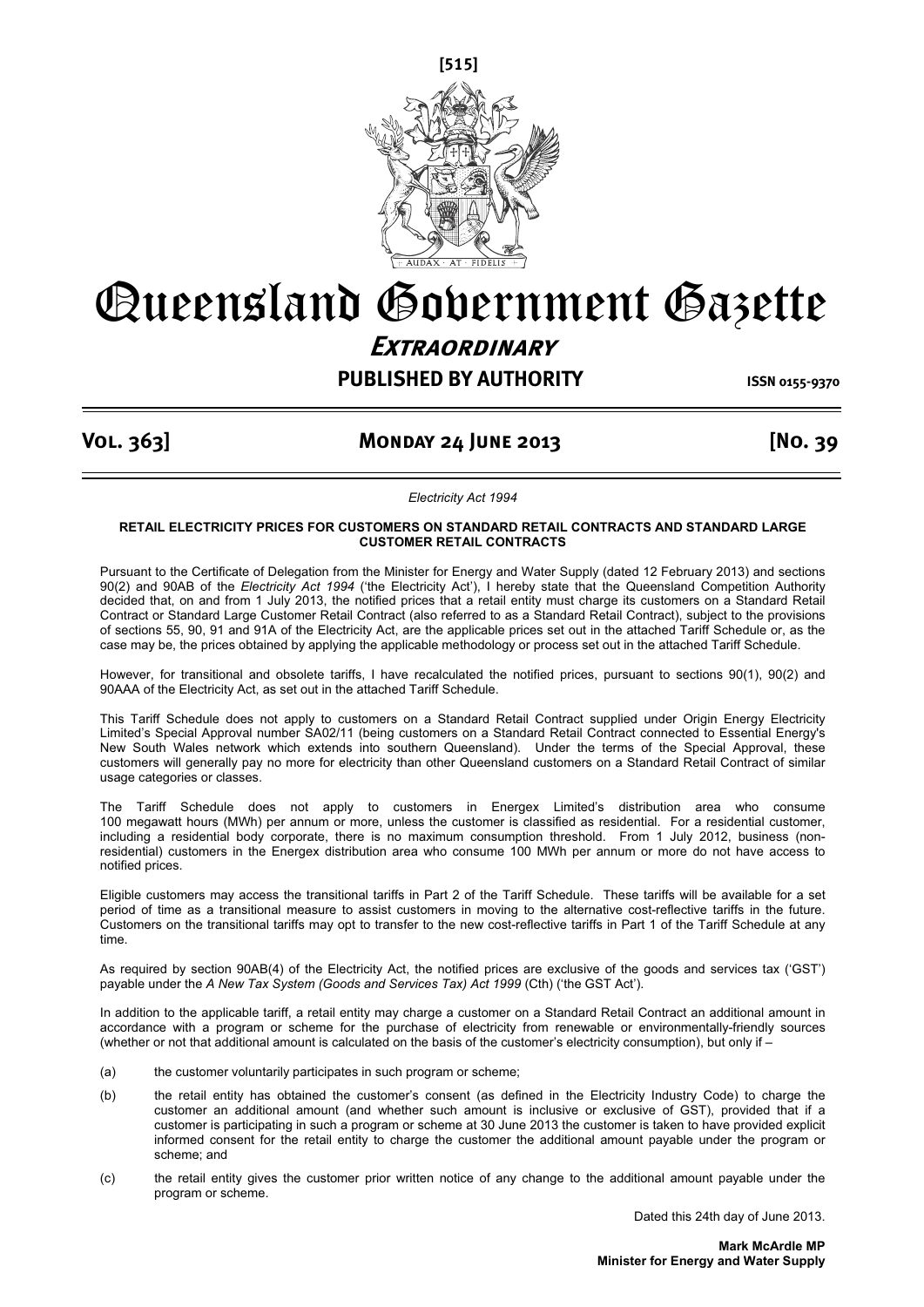

# Queensland Government Gazette **Extraordinary**

## **PUBLISHED BY AUTHORITY ISSN 0155-9370**

## **Vol. 363] Monday 24 June 2013 [No. 39**

*Electricity Act 1994* 

#### **RETAIL ELECTRICITY PRICES FOR CUSTOMERS ON STANDARD RETAIL CONTRACTS AND STANDARD LARGE CUSTOMER RETAIL CONTRACTS**

Pursuant to the Certificate of Delegation from the Minister for Energy and Water Supply (dated 12 February 2013) and sections 90(2) and 90AB of the *Electricity Act 1994* ('the Electricity Act'), I hereby state that the Queensland Competition Authority decided that, on and from 1 July 2013, the notified prices that a retail entity must charge its customers on a Standard Retail Contract or Standard Large Customer Retail Contract (also referred to as a Standard Retail Contract), subject to the provisions of sections 55, 90, 91 and 91A of the Electricity Act, are the applicable prices set out in the attached Tariff Schedule or, as the case may be, the prices obtained by applying the applicable methodology or process set out in the attached Tariff Schedule.

However, for transitional and obsolete tariffs, I have recalculated the notified prices, pursuant to sections 90(1), 90(2) and 90AAA of the Electricity Act, as set out in the attached Tariff Schedule.

This Tariff Schedule does not apply to customers on a Standard Retail Contract supplied under Origin Energy Electricity Limited's Special Approval number SA02/11 (being customers on a Standard Retail Contract connected to Essential Energy's New South Wales network which extends into southern Queensland). Under the terms of the Special Approval, these customers will generally pay no more for electricity than other Queensland customers on a Standard Retail Contract of similar usage categories or classes.

The Tariff Schedule does not apply to customers in Energex Limited's distribution area who consume 100 megawatt hours (MWh) per annum or more, unless the customer is classified as residential. For a residential customer, including a residential body corporate, there is no maximum consumption threshold. From 1 July 2012, business (nonresidential) customers in the Energex distribution area who consume 100 MWh per annum or more do not have access to notified prices.

Eligible customers may access the transitional tariffs in Part 2 of the Tariff Schedule. These tariffs will be available for a set period of time as a transitional measure to assist customers in moving to the alternative cost-reflective tariffs in the future. Customers on the transitional tariffs may opt to transfer to the new cost-reflective tariffs in Part 1 of the Tariff Schedule at any time.

As required by section 90AB(4) of the Electricity Act, the notified prices are exclusive of the goods and services tax ('GST') payable under the *A New Tax System (Goods and Services Tax) Act 1999* (Cth) ('the GST Act').

In addition to the applicable tariff, a retail entity may charge a customer on a Standard Retail Contract an additional amount in accordance with a program or scheme for the purchase of electricity from renewable or environmentally-friendly sources (whether or not that additional amount is calculated on the basis of the customer's electricity consumption), but only if –

- (a) the customer voluntarily participates in such program or scheme;
- (b) the retail entity has obtained the customer's consent (as defined in the Electricity Industry Code) to charge the customer an additional amount (and whether such amount is inclusive or exclusive of GST), provided that if a customer is participating in such a program or scheme at 30 June 2013 the customer is taken to have provided explicit informed consent for the retail entity to charge the customer the additional amount payable under the program or scheme; and
- (c) the retail entity gives the customer prior written notice of any change to the additional amount payable under the program or scheme.

Dated this 24th day of June 2013.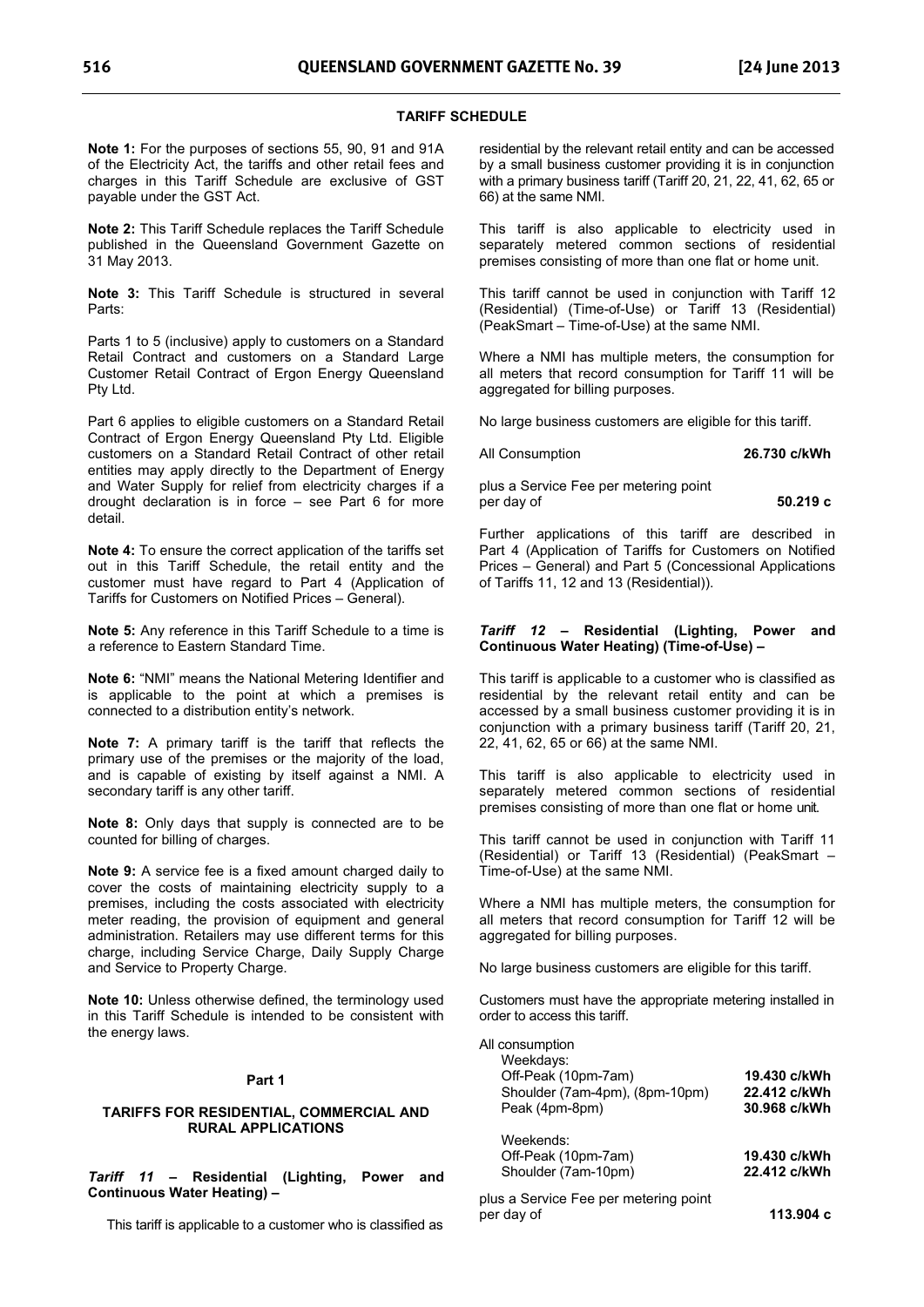#### **TARIFF SCHEDULE**

**Note 1:** For the purposes of sections 55, 90, 91 and 91A of the Electricity Act, the tariffs and other retail fees and charges in this Tariff Schedule are exclusive of GST payable under the GST Act.

**Note 2:** This Tariff Schedule replaces the Tariff Schedule published in the Queensland Government Gazette on 31 May 2013.

**Note 3:** This Tariff Schedule is structured in several Parts:

Parts 1 to 5 (inclusive) apply to customers on a Standard Retail Contract and customers on a Standard Large Customer Retail Contract of Ergon Energy Queensland Pty Ltd.

Part 6 applies to eligible customers on a Standard Retail Contract of Ergon Energy Queensland Pty Ltd. Eligible customers on a Standard Retail Contract of other retail entities may apply directly to the Department of Energy and Water Supply for relief from electricity charges if a drought declaration is in force – see Part 6 for more detail.

**Note 4:** To ensure the correct application of the tariffs set out in this Tariff Schedule, the retail entity and the customer must have regard to Part 4 (Application of Tariffs for Customers on Notified Prices – General).

**Note 5:** Any reference in this Tariff Schedule to a time is a reference to Eastern Standard Time.

**Note 6:** "NMI" means the National Metering Identifier and is applicable to the point at which a premises is connected to a distribution entity's network.

**Note 7:** A primary tariff is the tariff that reflects the primary use of the premises or the majority of the load, and is capable of existing by itself against a NMI. A secondary tariff is any other tariff.

**Note 8:** Only days that supply is connected are to be counted for billing of charges.

**Note 9:** A service fee is a fixed amount charged daily to cover the costs of maintaining electricity supply to a premises, including the costs associated with electricity meter reading, the provision of equipment and general administration. Retailers may use different terms for this charge, including Service Charge, Daily Supply Charge and Service to Property Charge.

**Note 10:** Unless otherwise defined, the terminology used in this Tariff Schedule is intended to be consistent with the energy laws.

#### **Part 1**

#### **TARIFFS FOR RESIDENTIAL, COMMERCIAL AND RURAL APPLICATIONS**

*Tariff 11* **– Residential (Lighting, Power and Continuous Water Heating) –** 

This tariff is applicable to a customer who is classified as

residential by the relevant retail entity and can be accessed by a small business customer providing it is in conjunction with a primary business tariff (Tariff 20, 21, 22, 41, 62, 65 or 66) at the same NMI.

This tariff is also applicable to electricity used in separately metered common sections of residential premises consisting of more than one flat or home unit.

This tariff cannot be used in conjunction with Tariff 12 (Residential) (Time-of-Use) or Tariff 13 (Residential) (PeakSmart – Time-of-Use) at the same NMI.

Where a NMI has multiple meters, the consumption for all meters that record consumption for Tariff 11 will be aggregated for billing purposes.

No large business customers are eligible for this tariff.

All Consumption **26.730 c/kWh** 

plus a Service Fee per metering point per day of **50.219 c**

Further applications of this tariff are described in Part 4 (Application of Tariffs for Customers on Notified Prices – General) and Part 5 (Concessional Applications of Tariffs 11, 12 and 13 (Residential)).

#### *Tariff 12* **– Residential (Lighting, Power and Continuous Water Heating) (Time-of-Use) –**

This tariff is applicable to a customer who is classified as residential by the relevant retail entity and can be accessed by a small business customer providing it is in conjunction with a primary business tariff (Tariff 20, 21, 22, 41, 62, 65 or 66) at the same NMI.

This tariff is also applicable to electricity used in separately metered common sections of residential premises consisting of more than one flat or home unit.

This tariff cannot be used in conjunction with Tariff 11 (Residential) or Tariff 13 (Residential) (PeakSmart – Time-of-Use) at the same NMI.

Where a NMI has multiple meters, the consumption for all meters that record consumption for Tariff 12 will be aggregated for billing purposes.

No large business customers are eligible for this tariff.

Customers must have the appropriate metering installed in order to access this tariff.

| All consumption |  |
|-----------------|--|
| $M$ ookdovo:    |  |

| Weekdays:<br>Off-Peak (10pm-7am)<br>Shoulder (7am-4pm), (8pm-10pm)<br>Peak (4pm-8pm) | 19.430 c/kWh<br>22.412 c/kWh<br>30.968 c/kWh |
|--------------------------------------------------------------------------------------|----------------------------------------------|
| Weekends:<br>Off-Peak (10pm-7am)<br>Shoulder (7am-10pm)                              | 19.430 c/kWh<br>22.412 c/kWh                 |
| plus a Service Fee per metering point                                                |                                              |

per day of **113.904 c**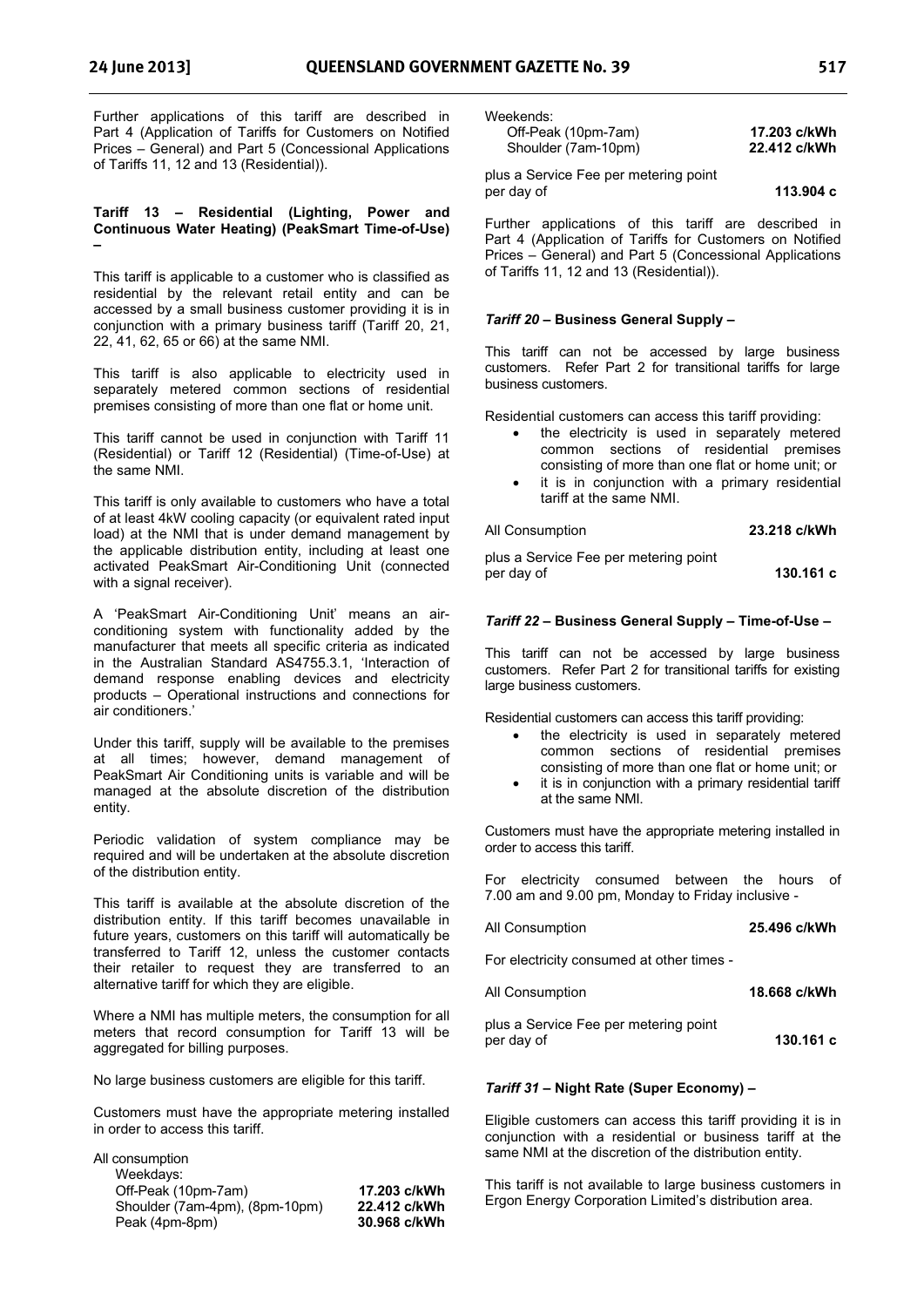Further applications of this tariff are described in Part 4 (Application of Tariffs for Customers on Notified Prices – General) and Part 5 (Concessional Applications of Tariffs 11, 12 and 13 (Residential)).

#### **Tariff 13 – Residential (Lighting, Power and Continuous Water Heating) (PeakSmart Time-of-Use) –**

This tariff is applicable to a customer who is classified as residential by the relevant retail entity and can be accessed by a small business customer providing it is in conjunction with a primary business tariff (Tariff 20, 21, 22, 41, 62, 65 or 66) at the same NMI.

This tariff is also applicable to electricity used in separately metered common sections of residential premises consisting of more than one flat or home unit.

This tariff cannot be used in conjunction with Tariff 11 (Residential) or Tariff 12 (Residential) (Time-of-Use) at the same NMI.

This tariff is only available to customers who have a total of at least 4kW cooling capacity (or equivalent rated input load) at the NMI that is under demand management by the applicable distribution entity, including at least one activated PeakSmart Air-Conditioning Unit (connected with a signal receiver).

A 'PeakSmart Air-Conditioning Unit' means an airconditioning system with functionality added by the manufacturer that meets all specific criteria as indicated in the Australian Standard AS4755.3.1, 'Interaction of demand response enabling devices and electricity products – Operational instructions and connections for air conditioners.'

Under this tariff, supply will be available to the premises at all times; however, demand management of PeakSmart Air Conditioning units is variable and will be managed at the absolute discretion of the distribution entity.

Periodic validation of system compliance may be required and will be undertaken at the absolute discretion of the distribution entity.

This tariff is available at the absolute discretion of the distribution entity. If this tariff becomes unavailable in future years, customers on this tariff will automatically be transferred to Tariff 12, unless the customer contacts their retailer to request they are transferred to an alternative tariff for which they are eligible.

Where a NMI has multiple meters, the consumption for all meters that record consumption for Tariff 13 will be aggregated for billing purposes.

No large business customers are eligible for this tariff.

Customers must have the appropriate metering installed in order to access this tariff.

| 17.203 c/kWh |
|--------------|
| 22.412 c/kWh |
| 30.968 c/kWh |
|              |

| Off-Peak (10pm-7am)                                 | 17.203 c/kWh |
|-----------------------------------------------------|--------------|
| Shoulder (7am-10pm)                                 | 22.412 c/kWh |
| plus a Service Fee per metering point<br>per day of | 113.904 с    |

Further applications of this tariff are described in Part 4 (Application of Tariffs for Customers on Notified Prices – General) and Part 5 (Concessional Applications of Tariffs 11, 12 and 13 (Residential)).

#### *Tariff 20* **– Business General Supply –**

This tariff can not be accessed by large business customers. Refer Part 2 for transitional tariffs for large business customers.

Residential customers can access this tariff providing:

- the electricity is used in separately metered common sections of residential premises consisting of more than one flat or home unit; or
- it is in conjunction with a primary residential tariff at the same NMI.

All Consumption **23.218 c/kWh** 

plus a Service Fee per metering point per day of **130.161 c** 

#### *Tariff 22* **– Business General Supply – Time-of-Use –**

This tariff can not be accessed by large business customers. Refer Part 2 for transitional tariffs for existing large business customers.

Residential customers can access this tariff providing:

- the electricity is used in separately metered common sections of residential premises consisting of more than one flat or home unit; or
- it is in conjunction with a primary residential tariff at the same NMI.

Customers must have the appropriate metering installed in order to access this tariff.

For electricity consumed between the hours of 7.00 am and 9.00 pm, Monday to Friday inclusive -

| All Consumption | 25.496 c/kWh |
|-----------------|--------------|
|                 |              |

For electricity consumed at other times -

| All Consumption | 18.668 c/kWh |
|-----------------|--------------|
|-----------------|--------------|

plus a Service Fee per metering point per day of **130.161 c** 

#### *Tariff 31* **– Night Rate (Super Economy) –**

Eligible customers can access this tariff providing it is in conjunction with a residential or business tariff at the same NMI at the discretion of the distribution entity.

This tariff is not available to large business customers in Ergon Energy Corporation Limited's distribution area.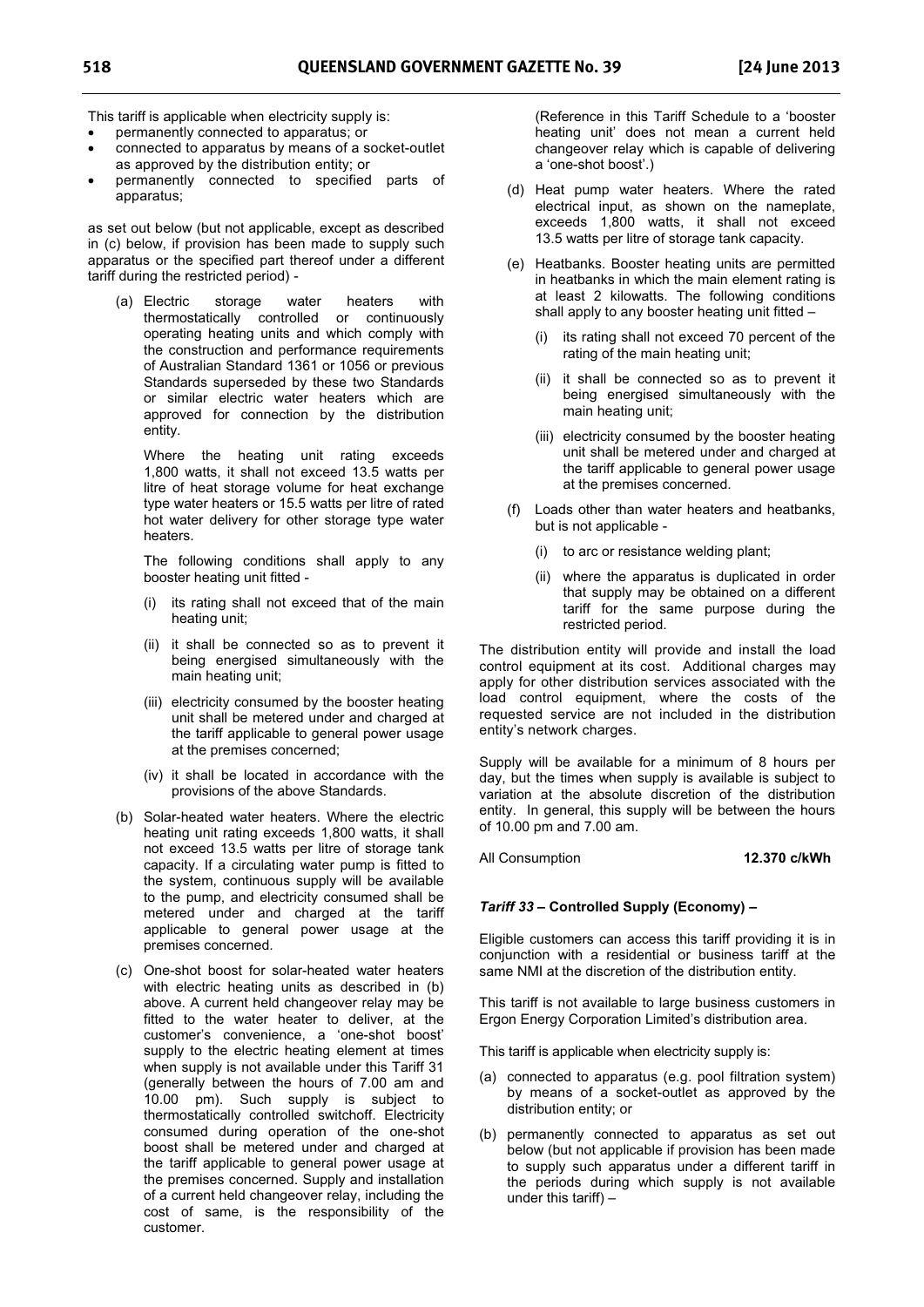This tariff is applicable when electricity supply is:

- permanently connected to apparatus; or
- connected to apparatus by means of a socket-outlet as approved by the distribution entity; or
- permanently connected to specified parts of apparatus;

as set out below (but not applicable, except as described in (c) below, if provision has been made to supply such apparatus or the specified part thereof under a different tariff during the restricted period) -

(a) Electric storage water heaters with thermostatically controlled or continuously operating heating units and which comply with the construction and performance requirements of Australian Standard 1361 or 1056 or previous Standards superseded by these two Standards or similar electric water heaters which are approved for connection by the distribution entity.

Where the heating unit rating exceeds 1,800 watts, it shall not exceed 13.5 watts per litre of heat storage volume for heat exchange type water heaters or 15.5 watts per litre of rated hot water delivery for other storage type water heaters.

The following conditions shall apply to any booster heating unit fitted -

- (i) its rating shall not exceed that of the main heating unit;
- (ii) it shall be connected so as to prevent it being energised simultaneously with the main heating unit;
- (iii) electricity consumed by the booster heating unit shall be metered under and charged at the tariff applicable to general power usage at the premises concerned;
- (iv) it shall be located in accordance with the provisions of the above Standards.
- (b) Solar-heated water heaters. Where the electric heating unit rating exceeds 1,800 watts, it shall not exceed 13.5 watts per litre of storage tank capacity. If a circulating water pump is fitted to the system, continuous supply will be available to the pump, and electricity consumed shall be metered under and charged at the tariff applicable to general power usage at the premises concerned.
- (c) One-shot boost for solar-heated water heaters with electric heating units as described in (b) above. A current held changeover relay may be fitted to the water heater to deliver, at the customer's convenience, a 'one-shot boost' supply to the electric heating element at times when supply is not available under this Tariff 31 (generally between the hours of 7.00 am and 10.00 pm). Such supply is subject to thermostatically controlled switchoff. Electricity consumed during operation of the one-shot boost shall be metered under and charged at the tariff applicable to general power usage at the premises concerned. Supply and installation of a current held changeover relay, including the cost of same, is the responsibility of the customer.

(Reference in this Tariff Schedule to a 'booster heating unit' does not mean a current held changeover relay which is capable of delivering a 'one-shot boost'.)

- (d) Heat pump water heaters. Where the rated electrical input, as shown on the nameplate, exceeds 1,800 watts, it shall not exceed 13.5 watts per litre of storage tank capacity.
- (e) Heatbanks. Booster heating units are permitted in heatbanks in which the main element rating is at least 2 kilowatts. The following conditions shall apply to any booster heating unit fitted –
	- (i) its rating shall not exceed 70 percent of the rating of the main heating unit;
	- (ii) it shall be connected so as to prevent it being energised simultaneously with the main heating unit;
	- (iii) electricity consumed by the booster heating unit shall be metered under and charged at the tariff applicable to general power usage at the premises concerned.
- (f) Loads other than water heaters and heatbanks, but is not applicable -
	- (i) to arc or resistance welding plant;
	- (ii) where the apparatus is duplicated in order that supply may be obtained on a different tariff for the same purpose during the restricted period.

The distribution entity will provide and install the load control equipment at its cost. Additional charges may apply for other distribution services associated with the load control equipment, where the costs of the requested service are not included in the distribution entity's network charges.

Supply will be available for a minimum of 8 hours per day, but the times when supply is available is subject to variation at the absolute discretion of the distribution entity. In general, this supply will be between the hours of 10.00 pm and 7.00 am.

All Consumption **12.370 c/kWh** 

### *Tariff 33* **– Controlled Supply (Economy) –**

Eligible customers can access this tariff providing it is in conjunction with a residential or business tariff at the same NMI at the discretion of the distribution entity.

This tariff is not available to large business customers in Ergon Energy Corporation Limited's distribution area.

This tariff is applicable when electricity supply is:

- (a) connected to apparatus (e.g. pool filtration system) by means of a socket-outlet as approved by the distribution entity; or
- (b) permanently connected to apparatus as set out below (but not applicable if provision has been made to supply such apparatus under a different tariff in the periods during which supply is not available under this tariff) –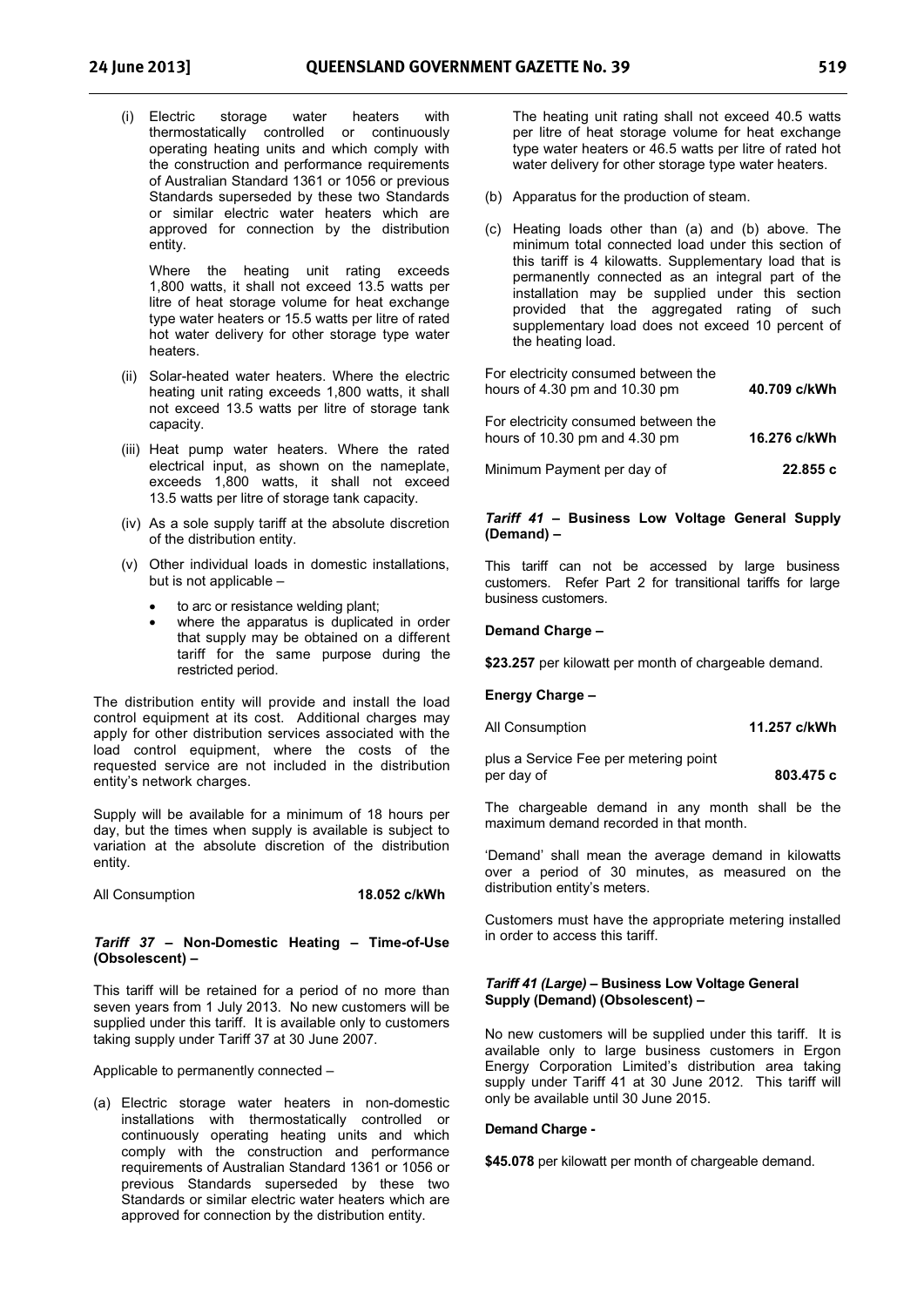(i) Electric storage water heaters with thermostatically controlled or continuously operating heating units and which comply with the construction and performance requirements of Australian Standard 1361 or 1056 or previous Standards superseded by these two Standards or similar electric water heaters which are approved for connection by the distribution entity.

Where the heating unit rating exceeds 1,800 watts, it shall not exceed 13.5 watts per litre of heat storage volume for heat exchange type water heaters or 15.5 watts per litre of rated hot water delivery for other storage type water heaters.

- (ii) Solar-heated water heaters. Where the electric heating unit rating exceeds 1,800 watts, it shall not exceed 13.5 watts per litre of storage tank capacity.
- (iii) Heat pump water heaters. Where the rated electrical input, as shown on the nameplate, exceeds 1,800 watts, it shall not exceed 13.5 watts per litre of storage tank capacity.
- (iv) As a sole supply tariff at the absolute discretion of the distribution entity.
- (v) Other individual loads in domestic installations, but is not applicable –
	- to arc or resistance welding plant;
	- where the apparatus is duplicated in order that supply may be obtained on a different tariff for the same purpose during the restricted period.

The distribution entity will provide and install the load control equipment at its cost. Additional charges may apply for other distribution services associated with the load control equipment, where the costs of the requested service are not included in the distribution entity's network charges.

Supply will be available for a minimum of 18 hours per day, but the times when supply is available is subject to variation at the absolute discretion of the distribution entity.

#### All Consumption **18.052 c/kWh**

#### *Tariff 37* **– Non-Domestic Heating – Time-of-Use (Obsolescent) –**

This tariff will be retained for a period of no more than seven years from 1 July 2013. No new customers will be supplied under this tariff. It is available only to customers taking supply under Tariff 37 at 30 June 2007.

Applicable to permanently connected –

(a) Electric storage water heaters in non-domestic installations with thermostatically controlled or continuously operating heating units and which comply with the construction and performance requirements of Australian Standard 1361 or 1056 or previous Standards superseded by these two Standards or similar electric water heaters which are approved for connection by the distribution entity.

The heating unit rating shall not exceed 40.5 watts per litre of heat storage volume for heat exchange type water heaters or 46.5 watts per litre of rated hot water delivery for other storage type water heaters.

- (b) Apparatus for the production of steam.
- (c) Heating loads other than (a) and (b) above. The minimum total connected load under this section of this tariff is 4 kilowatts. Supplementary load that is permanently connected as an integral part of the installation may be supplied under this section provided that the aggregated rating of such supplementary load does not exceed 10 percent of the heating load.

| For electricity consumed between the<br>hours of 4.30 pm and 10.30 pm | 40.709 c/kWh |
|-----------------------------------------------------------------------|--------------|
| For electricity consumed between the<br>hours of 10.30 pm and 4.30 pm | 16.276 c/kWh |

# *Tariff 41* **– Business Low Voltage General Supply**

Minimum Payment per day of **22.855 c** 

This tariff can not be accessed by large business customers. Refer Part 2 for transitional tariffs for large business customers.

#### **Demand Charge –**

**(Demand) –**

**\$23.257** per kilowatt per month of chargeable demand.

**Energy Charge –** 

| All Consumption |  | 11.257 c/kWh |
|-----------------|--|--------------|
|-----------------|--|--------------|

plus a Service Fee per metering point per day of **803.475 c** 

The chargeable demand in any month shall be the maximum demand recorded in that month.

'Demand' shall mean the average demand in kilowatts over a period of 30 minutes, as measured on the distribution entity's meters.

Customers must have the appropriate metering installed in order to access this tariff.

#### *Tariff 41 (Large) –* **Business Low Voltage General Supply (Demand) (Obsolescent) –**

No new customers will be supplied under this tariff. It is available only to large business customers in Ergon Energy Corporation Limited's distribution area taking supply under Tariff 41 at 30 June 2012. This tariff will only be available until 30 June 2015.

#### **Demand Charge -**

**\$45.078** per kilowatt per month of chargeable demand.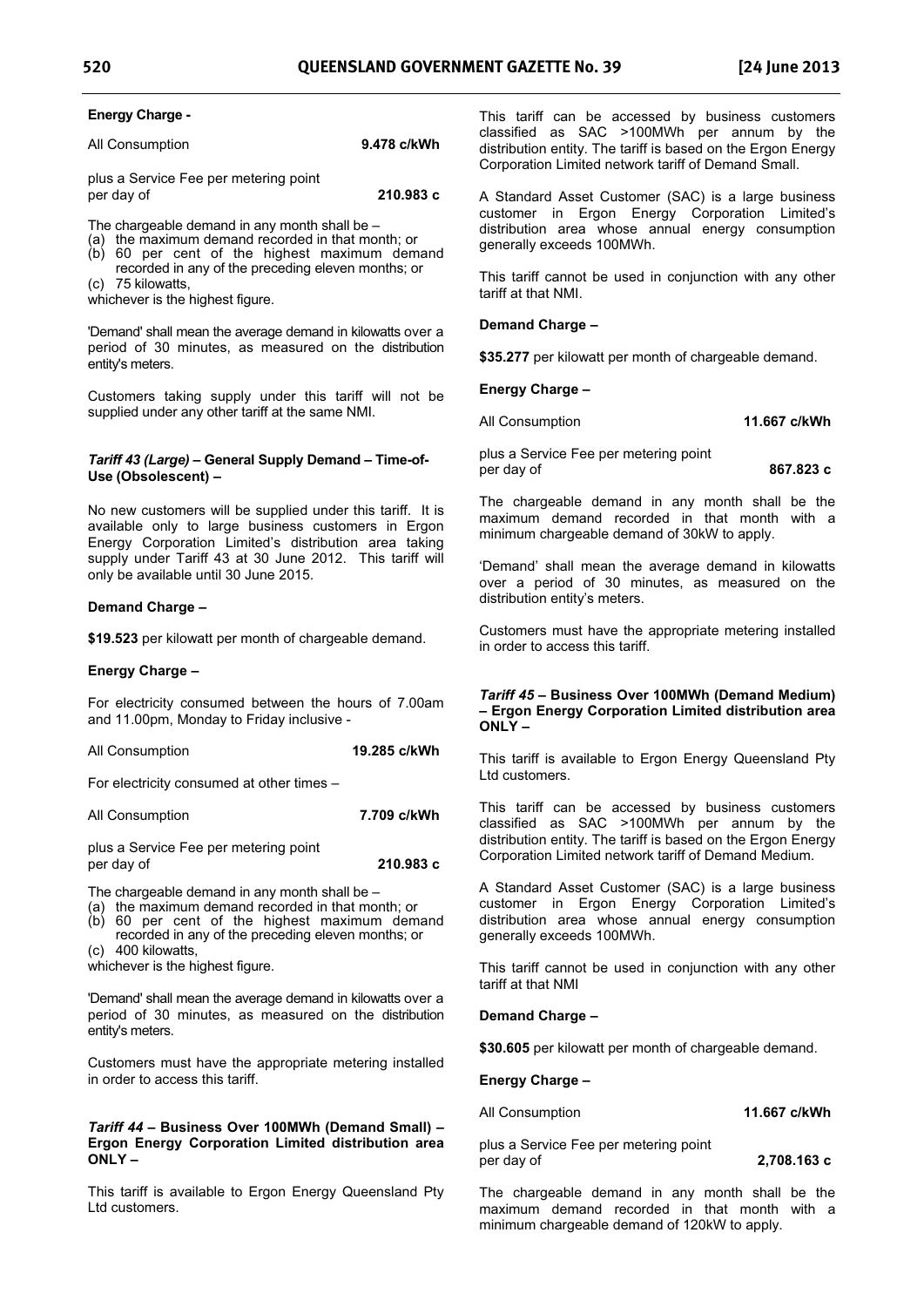### **Energy Charge -**

| All Consumption | 9.478 c/kWh |
|-----------------|-------------|
|                 |             |

plus a Service Fee per metering point per day of **210.983 c** 

The chargeable demand in any month shall be –

- (a) the maximum demand recorded in that month; or
- (b) 60 per cent of the highest maximum demand recorded in any of the preceding eleven months; or
- (c) 75 kilowatts,

whichever is the highest figure.

'Demand' shall mean the average demand in kilowatts over a period of 30 minutes, as measured on the distribution entity's meters.

Customers taking supply under this tariff will not be supplied under any other tariff at the same NMI.

#### *Tariff 43 (Large) –* **General Supply Demand – Time-of-Use (Obsolescent) –**

No new customers will be supplied under this tariff. It is available only to large business customers in Ergon Energy Corporation Limited's distribution area taking supply under Tariff 43 at 30 June 2012. This tariff will only be available until 30 June 2015.

#### **Demand Charge –**

**\$19.523** per kilowatt per month of chargeable demand.

#### **Energy Charge –**

For electricity consumed between the hours of 7.00am and 11.00pm, Monday to Friday inclusive -

All Consumption **19.285 c/kWh** 

For electricity consumed at other times –

| 7.709 c/kWh |
|-------------|
|             |

plus a Service Fee per metering point per day of **210.983 c** 

The chargeable demand in any month shall be –

(a) the maximum demand recorded in that month; or

(b) 60 per cent of the highest maximum demand recorded in any of the preceding eleven months; or (c) 400 kilowatts,

whichever is the highest figure.

'Demand' shall mean the average demand in kilowatts over a period of 30 minutes, as measured on the distribution entity's meters.

Customers must have the appropriate metering installed in order to access this tariff.

#### *Tariff 44 –* **Business Over 100MWh (Demand Small) – Ergon Energy Corporation Limited distribution area ONLY –**

This tariff is available to Ergon Energy Queensland Pty Ltd customers.

This tariff can be accessed by business customers classified as SAC >100MWh per annum by the distribution entity. The tariff is based on the Ergon Energy Corporation Limited network tariff of Demand Small.

A Standard Asset Customer (SAC) is a large business customer in Ergon Energy Corporation Limited's distribution area whose annual energy consumption generally exceeds 100MWh.

This tariff cannot be used in conjunction with any other tariff at that NMI.

#### **Demand Charge –**

**\$35.277** per kilowatt per month of chargeable demand.

**Energy Charge –** 

| All Consumption | 11.667 c/kWh |
|-----------------|--------------|
|                 |              |

plus a Service Fee per metering point per day of **867.823 c** 

The chargeable demand in any month shall be the maximum demand recorded in that month with a minimum chargeable demand of 30kW to apply.

'Demand' shall mean the average demand in kilowatts over a period of 30 minutes, as measured on the distribution entity's meters.

Customers must have the appropriate metering installed in order to access this tariff.

#### *Tariff 45 –* **Business Over 100MWh (Demand Medium) – Ergon Energy Corporation Limited distribution area ONLY –**

This tariff is available to Ergon Energy Queensland Pty Ltd customers.

This tariff can be accessed by business customers classified as SAC >100MWh per annum by the distribution entity. The tariff is based on the Ergon Energy Corporation Limited network tariff of Demand Medium.

A Standard Asset Customer (SAC) is a large business customer in Ergon Energy Corporation Limited's distribution area whose annual energy consumption generally exceeds 100MWh.

This tariff cannot be used in conjunction with any other tariff at that NMI

#### **Demand Charge –**

**\$30.605** per kilowatt per month of chargeable demand.

#### **Energy Charge –**

All Consumption **11.667 c/kWh** 

plus a Service Fee per metering point per day of **2,708.163 c** 

The chargeable demand in any month shall be the maximum demand recorded in that month with a minimum chargeable demand of 120kW to apply.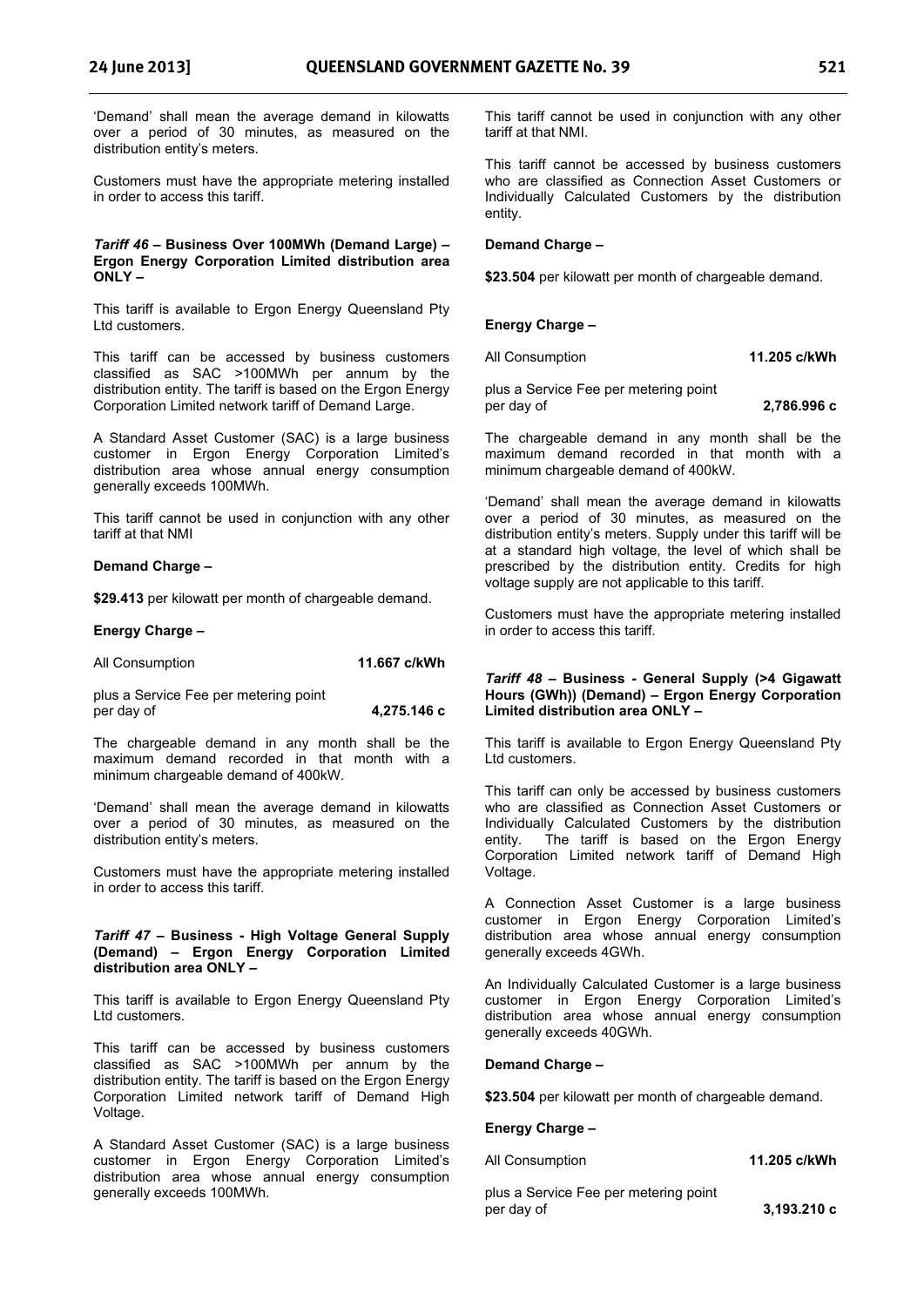'Demand' shall mean the average demand in kilowatts over a period of 30 minutes, as measured on the distribution entity's meters.

Customers must have the appropriate metering installed in order to access this tariff.

#### *Tariff 46 –* **Business Over 100MWh (Demand Large) – Ergon Energy Corporation Limited distribution area ONLY –**

This tariff is available to Ergon Energy Queensland Pty Ltd customers.

This tariff can be accessed by business customers classified as SAC >100MWh per annum by the distribution entity. The tariff is based on the Ergon Energy Corporation Limited network tariff of Demand Large.

A Standard Asset Customer (SAC) is a large business customer in Ergon Energy Corporation Limited's distribution area whose annual energy consumption generally exceeds 100MWh.

This tariff cannot be used in conjunction with any other tariff at that NMI

#### **Demand Charge –**

**\$29.413** per kilowatt per month of chargeable demand.

#### **Energy Charge –**

| All Consumption | 11.667 c/kWh |
|-----------------|--------------|
|-----------------|--------------|

plus a Service Fee per metering point per day of **4,275.146 c** 

The chargeable demand in any month shall be the maximum demand recorded in that month with a minimum chargeable demand of 400kW.

'Demand' shall mean the average demand in kilowatts over a period of 30 minutes, as measured on the distribution entity's meters.

Customers must have the appropriate metering installed in order to access this tariff.

#### *Tariff 47* **– Business - High Voltage General Supply (Demand) – Ergon Energy Corporation Limited distribution area ONLY –**

This tariff is available to Ergon Energy Queensland Pty Ltd customers.

This tariff can be accessed by business customers classified as SAC >100MWh per annum by the distribution entity. The tariff is based on the Ergon Energy Corporation Limited network tariff of Demand High Voltage.

A Standard Asset Customer (SAC) is a large business customer in Ergon Energy Corporation Limited's distribution area whose annual energy consumption generally exceeds 100MWh.

This tariff cannot be used in conjunction with any other tariff at that NMI.

This tariff cannot be accessed by business customers who are classified as Connection Asset Customers or Individually Calculated Customers by the distribution entity.

#### **Demand Charge –**

**\$23.504** per kilowatt per month of chargeable demand.

#### **Energy Charge –**

All Consumption **11.205 c/kWh** 

plus a Service Fee per metering point per day of **2,786.996 c** 

The chargeable demand in any month shall be the maximum demand recorded in that month with a minimum chargeable demand of 400kW.

'Demand' shall mean the average demand in kilowatts over a period of 30 minutes, as measured on the distribution entity's meters. Supply under this tariff will be at a standard high voltage, the level of which shall be prescribed by the distribution entity. Credits for high voltage supply are not applicable to this tariff.

Customers must have the appropriate metering installed in order to access this tariff.

#### *Tariff 48* **– Business - General Supply (>4 Gigawatt Hours (GWh)) (Demand) – Ergon Energy Corporation Limited distribution area ONLY –**

This tariff is available to Ergon Energy Queensland Pty Ltd customers.

This tariff can only be accessed by business customers who are classified as Connection Asset Customers or Individually Calculated Customers by the distribution entity. The tariff is based on the Ergon Energy Corporation Limited network tariff of Demand High Voltage.

A Connection Asset Customer is a large business customer in Ergon Energy Corporation Limited's distribution area whose annual energy consumption generally exceeds 4GWh.

An Individually Calculated Customer is a large business customer in Ergon Energy Corporation Limited's distribution area whose annual energy consumption generally exceeds 40GWh.

#### **Demand Charge –**

**\$23.504** per kilowatt per month of chargeable demand.

**Energy Charge –** 

All Consumption **11.205 c/kWh** 

plus a Service Fee per metering point per day of **3,193.210 c**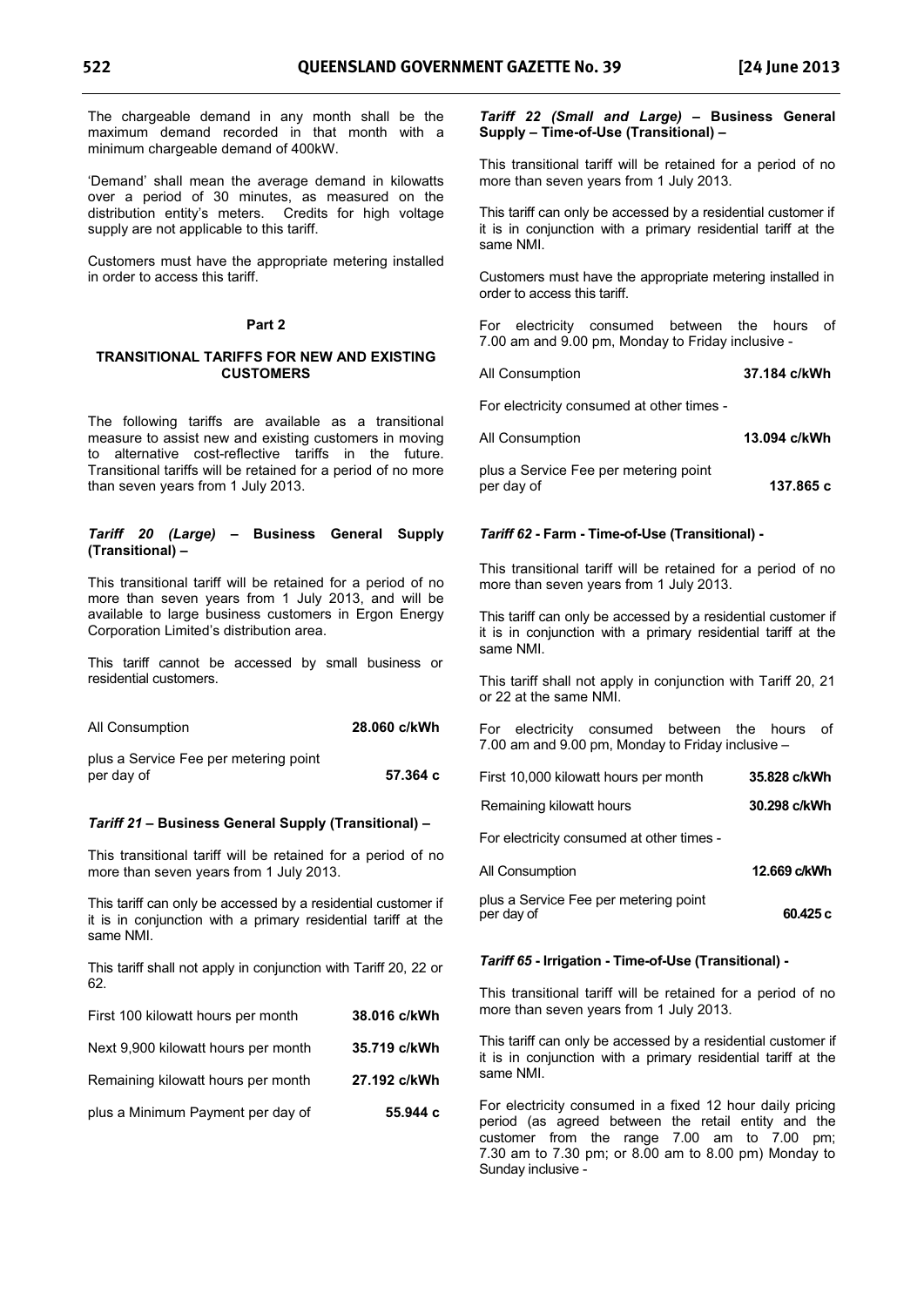The chargeable demand in any month shall be the maximum demand recorded in that month with a minimum chargeable demand of 400kW.

'Demand' shall mean the average demand in kilowatts over a period of 30 minutes, as measured on the distribution entity's meters. Credits for high voltage supply are not applicable to this tariff.

Customers must have the appropriate metering installed in order to access this tariff.

#### **Part 2**

#### **TRANSITIONAL TARIFFS FOR NEW AND EXISTING CUSTOMERS**

The following tariffs are available as a transitional measure to assist new and existing customers in moving to alternative cost-reflective tariffs in the future. Transitional tariffs will be retained for a period of no more than seven years from 1 July 2013.

#### *Tariff 20 (Large)* **– Business General Supply (Transitional) –**

This transitional tariff will be retained for a period of no more than seven years from 1 July 2013, and will be available to large business customers in Ergon Energy Corporation Limited's distribution area.

This tariff cannot be accessed by small business or residential customers.

| All Consumption                       | 28.060 c/kWh |
|---------------------------------------|--------------|
| plus a Service Fee per metering point | 57.364 c     |
| per day of                            |              |

#### *Tariff 21* **– Business General Supply (Transitional) –**

This transitional tariff will be retained for a period of no more than seven years from 1 July 2013.

This tariff can only be accessed by a residential customer if it is in conjunction with a primary residential tariff at the same NMI.

This tariff shall not apply in conjunction with Tariff 20, 22 or 62.

| First 100 kilowatt hours per month  | 38.016 c/kWh |
|-------------------------------------|--------------|
| Next 9,900 kilowatt hours per month | 35.719 c/kWh |
| Remaining kilowatt hours per month  | 27.192 c/kWh |
| plus a Minimum Payment per day of   | 55.944 с     |

#### *Tariff 22 (Small and Large)* **– Business General Supply – Time-of-Use (Transitional) –**

This transitional tariff will be retained for a period of no more than seven years from 1 July 2013.

This tariff can only be accessed by a residential customer if it is in conjunction with a primary residential tariff at the same NMI.

Customers must have the appropriate metering installed in order to access this tariff.

For electricity consumed between the hours of 7.00 am and 9.00 pm, Monday to Friday inclusive -

#### All Consumption **37.184 c/kWh**

For electricity consumed at other times -

| 13.094 c/kWh<br>All Consumption |
|---------------------------------|
|---------------------------------|

plus a Service Fee per metering point per day of **137.865 c** 

#### *Tariff 62* **- Farm - Time-of-Use (Transitional) -**

This transitional tariff will be retained for a period of no more than seven years from 1 July 2013.

This tariff can only be accessed by a residential customer if it is in conjunction with a primary residential tariff at the same NMI.

This tariff shall not apply in conjunction with Tariff 20, 21 or 22 at the same NMI.

For electricity consumed between the hours of 7.00 am and 9.00 pm, Monday to Friday inclusive –

| First 10,000 kilowatt hours per month | 35.828 c/kWh |
|---------------------------------------|--------------|
|                                       |              |

| 30.298 c/kWh<br>Remaining kilowatt hours |
|------------------------------------------|
|------------------------------------------|

For electricity consumed at other times -

| All Consumption                                     | 12.669 c/kWh |
|-----------------------------------------------------|--------------|
| plus a Service Fee per metering point<br>per day of | 60.425 c     |

#### *Tariff 65* **- Irrigation - Time-of-Use (Transitional) -**

This transitional tariff will be retained for a period of no more than seven years from 1 July 2013.

This tariff can only be accessed by a residential customer if it is in conjunction with a primary residential tariff at the same NMI.

For electricity consumed in a fixed 12 hour daily pricing period (as agreed between the retail entity and the customer from the range 7.00 am to 7.00 pm; 7.30 am to 7.30 pm; or 8.00 am to 8.00 pm) Monday to Sunday inclusive -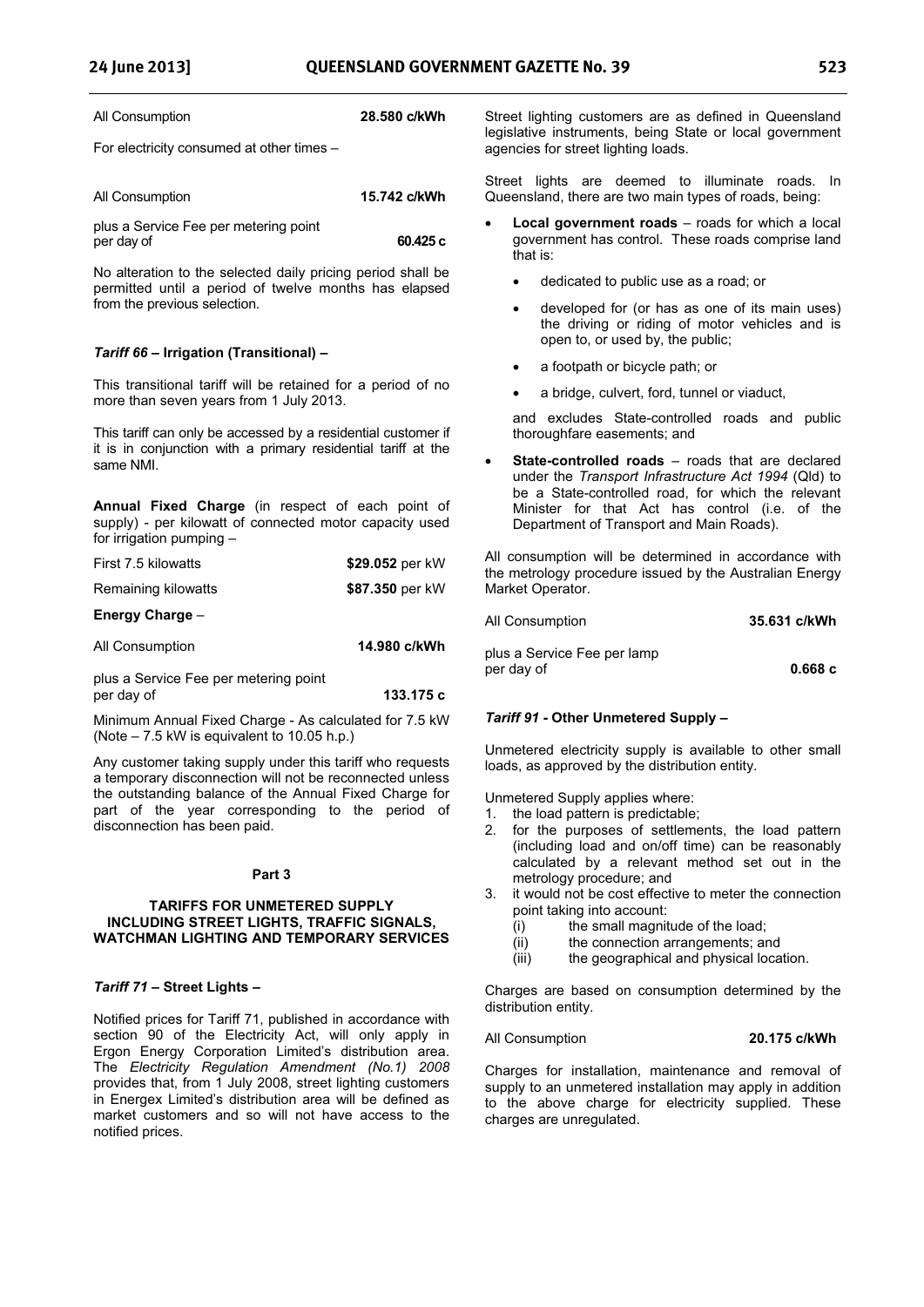| All Consumption | 28.580 c/kWh |
|-----------------|--------------|
|-----------------|--------------|

For electricity consumed at other times –

| All Consumption |  |  |  |  |  |  |  | 15.742 c/kWh |  |  |  |  |  |
|-----------------|--|--|--|--|--|--|--|--------------|--|--|--|--|--|
|                 |  |  |  |  |  |  |  |              |  |  |  |  |  |

plus a Service Fee per metering point per day of **60.425 c** 

No alteration to the selected daily pricing period shall be permitted until a period of twelve months has elapsed from the previous selection.

#### *Tariff 66* **– Irrigation (Transitional) –**

This transitional tariff will be retained for a period of no more than seven years from 1 July 2013.

This tariff can only be accessed by a residential customer if it is in conjunction with a primary residential tariff at the same NMI.

**Annual Fixed Charge** (in respect of each point of supply) - per kilowatt of connected motor capacity used for irrigation pumping –

| First 7.5 kilowatts                                 | \$29.052 per kW |
|-----------------------------------------------------|-----------------|
| Remaining kilowatts                                 | \$87.350 per kW |
| Energy Charge -                                     |                 |
| All Consumption                                     | 14.980 c/kWh    |
| plus a Service Fee per metering point<br>per day of | 133.175 c       |

Minimum Annual Fixed Charge - As calculated for 7.5 kW (Note – 7.5 kW is equivalent to 10.05 h.p.)

Any customer taking supply under this tariff who requests a temporary disconnection will not be reconnected unless the outstanding balance of the Annual Fixed Charge for part of the year corresponding to the period of disconnection has been paid.

#### **Part 3**

#### **TARIFFS FOR UNMETERED SUPPLY INCLUDING STREET LIGHTS, TRAFFIC SIGNALS, WATCHMAN LIGHTING AND TEMPORARY SERVICES**

#### *Tariff 71 –* **Street Lights –**

Notified prices for Tariff 71, published in accordance with section 90 of the Electricity Act, will only apply in Ergon Energy Corporation Limited's distribution area. The *Electricity Regulation Amendment (No.1) 2008* provides that, from 1 July 2008, street lighting customers in Energex Limited's distribution area will be defined as market customers and so will not have access to the notified prices.

Street lighting customers are as defined in Queensland legislative instruments, being State or local government agencies for street lighting loads.

Street lights are deemed to illuminate roads. In Queensland, there are two main types of roads, being:

- - **Local government roads** – roads for which a local government has control. These roads comprise land that is:
	- dedicated to public use as a road; or
	- developed for (or has as one of its main uses) the driving or riding of motor vehicles and is open to, or used by, the public;
	- a footpath or bicycle path; or
	- a bridge, culvert, ford, tunnel or viaduct,

and excludes State-controlled roads and public thoroughfare easements; and

- **State-controlled roads** – roads that are declared under the *Transport Infrastructure Act 1994* (Qld) to be a State-controlled road, for which the relevant Minister for that Act has control (i.e. of the Department of Transport and Main Roads).

All consumption will be determined in accordance with the metrology procedure issued by the Australian Energy Market Operator.

| All Consumption | 35.631 c/kWh |
|-----------------|--------------|
|                 |              |

plus a Service Fee per lamp per day of **0.668 c** 

### *Tariff 91* **- Other Unmetered Supply –**

Unmetered electricity supply is available to other small loads, as approved by the distribution entity.

Unmetered Supply applies where:

- 1. the load pattern is predictable;
- 2. for the purposes of settlements, the load pattern (including load and on/off time) can be reasonably calculated by a relevant method set out in the metrology procedure; and
- 3. it would not be cost effective to meter the connection point taking into account:
	- (i) the small magnitude of the load;
	- (ii) the connection arrangements; and
	- (iii) the geographical and physical location.

Charges are based on consumption determined by the distribution entity.

#### All Consumption **20.175 c/kWh**

Charges for installation, maintenance and removal of supply to an unmetered installation may apply in addition to the above charge for electricity supplied. These charges are unregulated.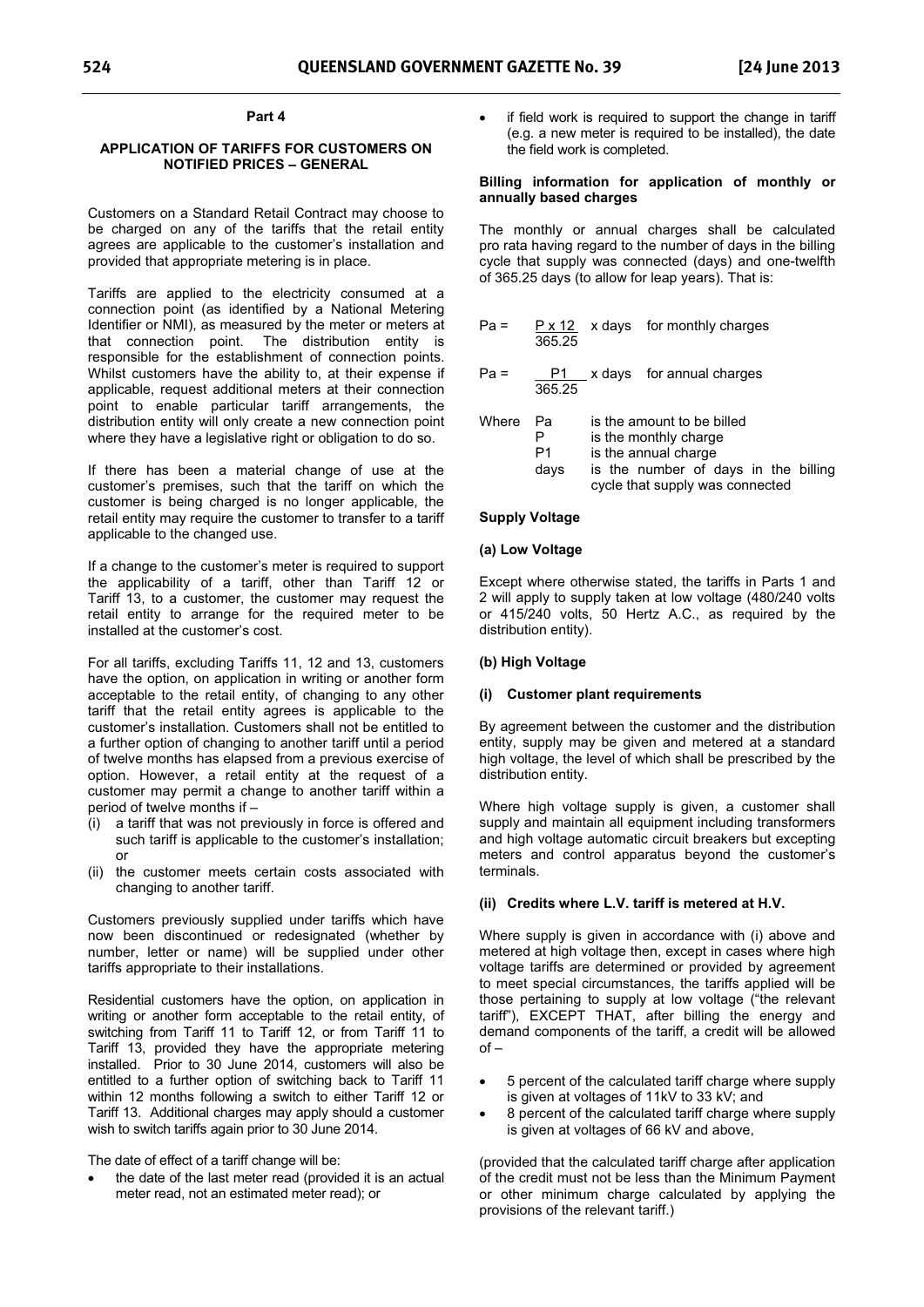#### **Part 4**

#### **APPLICATION OF TARIFFS FOR CUSTOMERS ON NOTIFIED PRICES – GENERAL**

Customers on a Standard Retail Contract may choose to be charged on any of the tariffs that the retail entity agrees are applicable to the customer's installation and provided that appropriate metering is in place.

Tariffs are applied to the electricity consumed at a connection point (as identified by a National Metering Identifier or NMI), as measured by the meter or meters at that connection point. The distribution entity is responsible for the establishment of connection points. Whilst customers have the ability to, at their expense if applicable, request additional meters at their connection point to enable particular tariff arrangements, the distribution entity will only create a new connection point where they have a legislative right or obligation to do so.

If there has been a material change of use at the customer's premises, such that the tariff on which the customer is being charged is no longer applicable, the retail entity may require the customer to transfer to a tariff applicable to the changed use.

If a change to the customer's meter is required to support the applicability of a tariff, other than Tariff 12 or Tariff 13, to a customer, the customer may request the retail entity to arrange for the required meter to be installed at the customer's cost.

For all tariffs, excluding Tariffs 11, 12 and 13, customers have the option, on application in writing or another form acceptable to the retail entity, of changing to any other tariff that the retail entity agrees is applicable to the customer's installation. Customers shall not be entitled to a further option of changing to another tariff until a period of twelve months has elapsed from a previous exercise of option. However, a retail entity at the request of a customer may permit a change to another tariff within a period of twelve months if –

- (i) a tariff that was not previously in force is offered and such tariff is applicable to the customer's installation; or
- (ii) the customer meets certain costs associated with changing to another tariff.

Customers previously supplied under tariffs which have now been discontinued or redesignated (whether by number, letter or name) will be supplied under other tariffs appropriate to their installations.

Residential customers have the option, on application in writing or another form acceptable to the retail entity, of switching from Tariff 11 to Tariff 12, or from Tariff 11 to Tariff 13, provided they have the appropriate metering installed. Prior to 30 June 2014, customers will also be entitled to a further option of switching back to Tariff 11 within 12 months following a switch to either Tariff 12 or Tariff 13. Additional charges may apply should a customer wish to switch tariffs again prior to 30 June 2014.

The date of effect of a tariff change will be:

 the date of the last meter read (provided it is an actual meter read, not an estimated meter read); or

 if field work is required to support the change in tariff (e.g. a new meter is required to be installed), the date the field work is completed.

#### **Billing information for application of monthly or annually based charges**

The monthly or annual charges shall be calculated pro rata having regard to the number of days in the billing cycle that supply was connected (days) and one-twelfth of 365.25 days (to allow for leap years). That is:

| Pa = |        | $P \times 12$ x days for monthly charges |
|------|--------|------------------------------------------|
|      | 365.25 |                                          |
|      |        |                                          |

 $Pa = \underline{P1} \underline{X}$  days for annual charges 365.25

| Where | - Pa<br>Р | is the amount to be billed<br>is the monthly charge |
|-------|-----------|-----------------------------------------------------|
|       | P1        | is the annual charge                                |
|       | davs      | is the number of days in the billing                |
|       |           | cycle that supply was connected                     |

#### **Supply Voltage**

#### **(a) Low Voltage**

Except where otherwise stated, the tariffs in Parts 1 and 2 will apply to supply taken at low voltage (480/240 volts or 415/240 volts, 50 Hertz A.C., as required by the distribution entity).

#### **(b) High Voltage**

#### **(i) Customer plant requirements**

By agreement between the customer and the distribution entity, supply may be given and metered at a standard high voltage, the level of which shall be prescribed by the distribution entity.

Where high voltage supply is given, a customer shall supply and maintain all equipment including transformers and high voltage automatic circuit breakers but excepting meters and control apparatus beyond the customer's terminals.

#### **(ii) Credits where L.V. tariff is metered at H.V.**

Where supply is given in accordance with (i) above and metered at high voltage then, except in cases where high voltage tariffs are determined or provided by agreement to meet special circumstances, the tariffs applied will be those pertaining to supply at low voltage ("the relevant tariff"), EXCEPT THAT, after billing the energy and demand components of the tariff, a credit will be allowed  $of –$ 

- - 5 percent of the calculated tariff charge where supply is given at voltages of 11kV to 33 kV; and
- $\bullet$  8 percent of the calculated tariff charge where supply is given at voltages of 66 kV and above,

(provided that the calculated tariff charge after application of the credit must not be less than the Minimum Payment or other minimum charge calculated by applying the provisions of the relevant tariff.)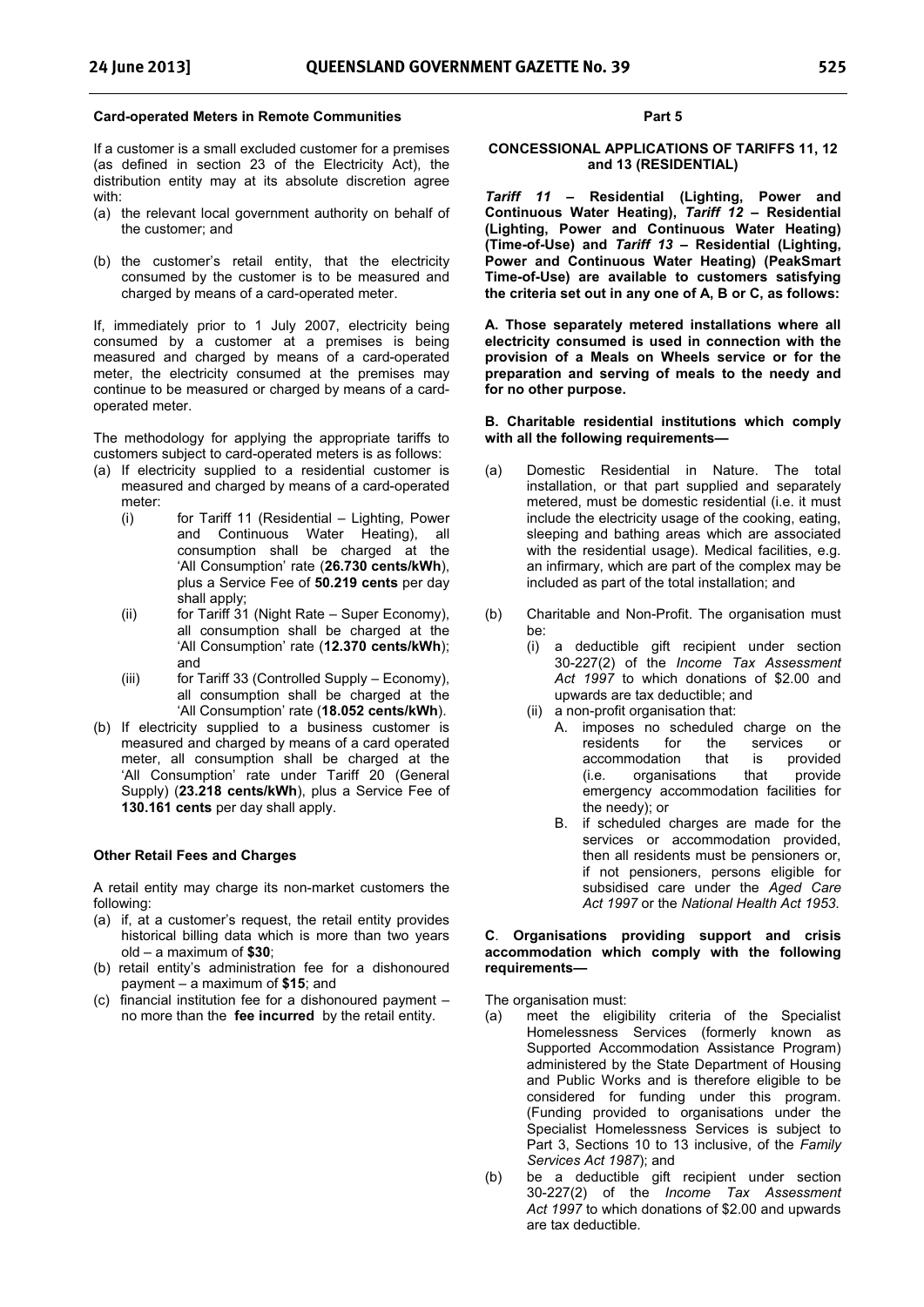#### **Card-operated Meters in Remote Communities**

If a customer is a small excluded customer for a premises (as defined in section 23 of the Electricity Act), the distribution entity may at its absolute discretion agree with:

- (a) the relevant local government authority on behalf of the customer; and
- (b) the customer's retail entity, that the electricity consumed by the customer is to be measured and charged by means of a card-operated meter.

If, immediately prior to 1 July 2007, electricity being consumed by a customer at a premises is being measured and charged by means of a card-operated meter, the electricity consumed at the premises may continue to be measured or charged by means of a cardoperated meter.

The methodology for applying the appropriate tariffs to customers subject to card-operated meters is as follows:

- (a) If electricity supplied to a residential customer is measured and charged by means of a card-operated meter:
	- (i) for Tariff 11 (Residential Lighting, Power and Continuous Water Heating), all consumption shall be charged at the 'All Consumption' rate (**26.730 cents/kWh**), plus a Service Fee of **50.219 cents** per day shall apply;
	- (ii) for Tariff 31 (Night Rate Super Economy), all consumption shall be charged at the 'All Consumption' rate (**12.370 cents/kWh**); and
	- (iii) for Tariff 33 (Controlled Supply Economy), all consumption shall be charged at the 'All Consumption' rate (**18.052 cents/kWh**).
- (b) If electricity supplied to a business customer is measured and charged by means of a card operated meter, all consumption shall be charged at the 'All Consumption' rate under Tariff 20 (General Supply) (**23.218 cents/kWh**), plus a Service Fee of **130.161 cents** per day shall apply.

#### **Other Retail Fees and Charges**

A retail entity may charge its non-market customers the following:

- (a) if, at a customer's request, the retail entity provides historical billing data which is more than two years old – a maximum of **\$30**;
- (b) retail entity's administration fee for a dishonoured payment – a maximum of **\$15**; and
- (c) financial institution fee for a dishonoured payment no more than the **fee incurred** by the retail entity.

#### **Part 5**

#### **CONCESSIONAL APPLICATIONS OF TARIFFS 11, 12 and 13 (RESIDENTIAL)**

*Tariff 11* **– Residential (Lighting, Power and Continuous Water Heating),** *Tariff 12* **– Residential (Lighting, Power and Continuous Water Heating) (Time-of-Use) and** *Tariff 13* **– Residential (Lighting, Power and Continuous Water Heating) (PeakSmart Time-of-Use) are available to customers satisfying the criteria set out in any one of A, B or C, as follows:** 

**A. Those separately metered installations where all electricity consumed is used in connection with the provision of a Meals on Wheels service or for the preparation and serving of meals to the needy and for no other purpose.** 

#### **B. Charitable residential institutions which comply with all the following requirements—**

- (a) Domestic Residential in Nature. The total installation, or that part supplied and separately metered, must be domestic residential (i.e. it must include the electricity usage of the cooking, eating, sleeping and bathing areas which are associated with the residential usage). Medical facilities, e.g. an infirmary, which are part of the complex may be included as part of the total installation; and
- (b) Charitable and Non-Profit. The organisation must be:
	- (i) a deductible gift recipient under section 30-227(2) of the *Income Tax Assessment Act 1997* to which donations of \$2.00 and upwards are tax deductible; and
	- (ii) a non-profit organisation that:
		- A. imposes no scheduled charge on the residents for the services or<br>accommodation that is provided accommodation that is provided<br>(i.e. organisations that provide  $(i.e.$  organisations emergency accommodation facilities for the needy); or
		- B. if scheduled charges are made for the services or accommodation provided, then all residents must be pensioners or, if not pensioners, persons eligible for subsidised care under the *Aged Care Act 1997* or the *National Health Act 1953*.

#### **C**. **Organisations providing support and crisis accommodation which comply with the following requirements—**

The organisation must:

- (a) meet the eligibility criteria of the Specialist Homelessness Services (formerly known as Supported Accommodation Assistance Program) administered by the State Department of Housing and Public Works and is therefore eligible to be considered for funding under this program. (Funding provided to organisations under the Specialist Homelessness Services is subject to Part 3, Sections 10 to 13 inclusive, of the *Family Services Act 1987*); and
- (b) be a deductible gift recipient under section 30-227(2) of the *Income Tax Assessment Act 1997* to which donations of \$2.00 and upwards are tax deductible.